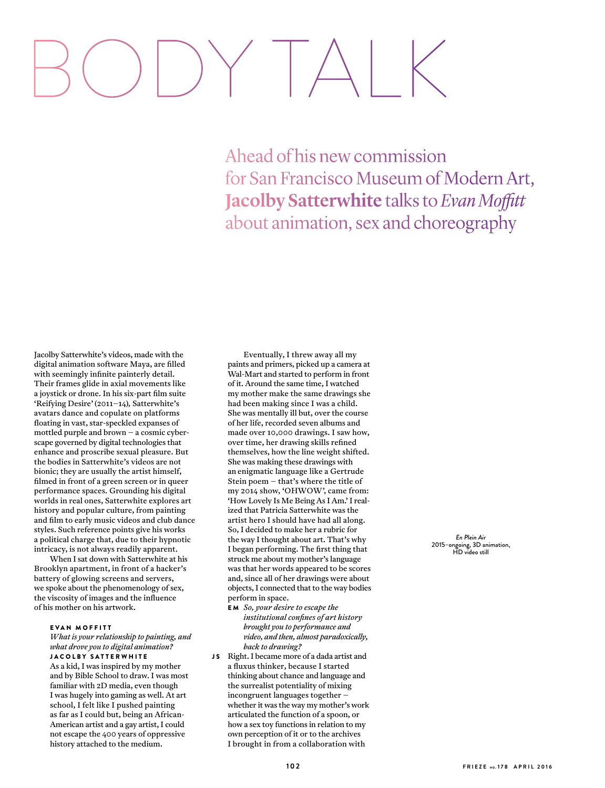## Body Talk

Ahead of his new commission for San Francisco Museum of Modern Art, Jacolby Satterwhite talks to *Evan Moffitt*  about animation, sex and choreography

Jacolby Satterwhite's videos, made with the digital animation software Maya, are filled with seemingly infinite painterly detail. Their frames glide in axial movements like a joystick or drone. In his six-part film suite 'Reifying Desire' (2011–14)*,* Satterwhite's avatars dance and copulate on platforms floating in vast, star-speckled expanses of mottled purple and brown – a cosmic cyberscape governed by digital technologies that enhance and proscribe sexual pleasure. But the bodies in Satterwhite's videos are not bionic; they are usually the artist himself, filmed in front of a green screen or in queer performance spaces. Grounding his digital worlds in real ones, Satterwhite explores art history and popular culture, from painting and film to early music videos and club dance styles. Such reference points give his works a political charge that, due to their hypnotic intricacy, is not always readily apparent.

When I sat down with Satterwhite at his Brooklyn apartment, in front of a hacker's battery of glowing screens and servers, we spoke about the phenomenology of sex, the viscosity of images and the influence of his mother on his artwork.

## Evan Moffitt

*What is your relationship to painting, and what drove you to digital animation?* JACOLBY SATTERWHITE As a kid, I was inspired by my mother and by Bible School to draw. I was most familiar with 2D media, even though I was hugely into gaming as well. At art school, I felt like I pushed painting as far as I could but, being an African-American artist and a gay artist, I could not escape the 400 years of oppressive history attached to the medium.

Eventually, I threw away all my paints and primers, picked up a camera at Wal-Mart and started to perform in front of it. Around the same time, I watched my mother make the same drawings she had been making since I was a child. She was mentally ill but, over the course of her life, recorded seven albums and made over 10,000 drawings. I saw how, over time, her drawing skills refined themselves, how the line weight shifted. She was making these drawings with an enigmatic language like a Gertrude Stein poem – that's where the title of my 2014 show, 'OHWOW', came from: 'How Lovely Is Me Being As I Am.' I realized that Patricia Satterwhite was the artist hero I should have had all along. So, I decided to make her a rubric for the way I thought about art. That's why I began performing. The first thing that struck me about my mother's language was that her words appeared to be scores and, since all of her drawings were about objects, I connected that to the way bodies perform in space.

- E M *So, your desire to escape the institutional confines of art history brought you to performance and video, and then, almost paradoxically, back to drawing?*
- JS Right. I became more of a dada artist and a fluxus thinker, because I started thinking about chance and language and the surrealist potentiality of mixing incongruent languages together – whether it was the way my mother's work articulated the function of a spoon, or how a sex toy functions in relation to my own perception of it or to the archives I brought in from a collaboration with

*En Plein Air* 2015–ongoing, 3D animation, HD video still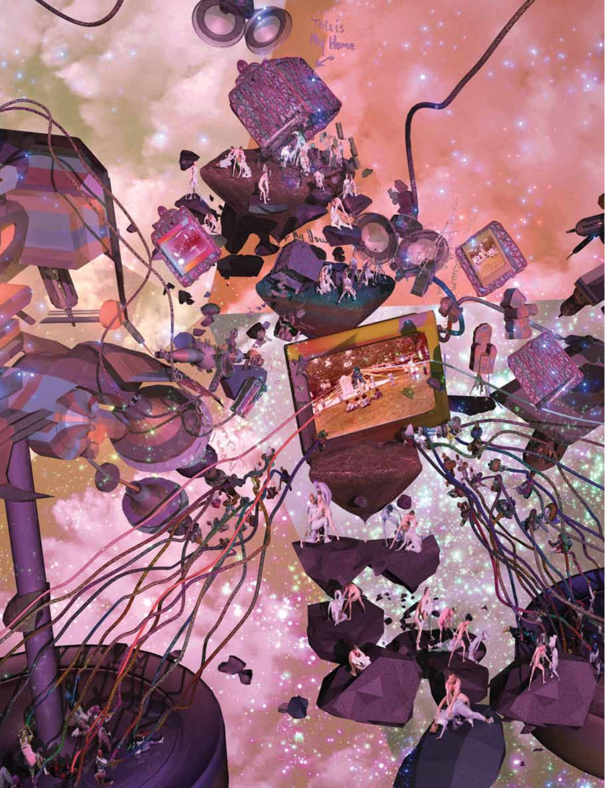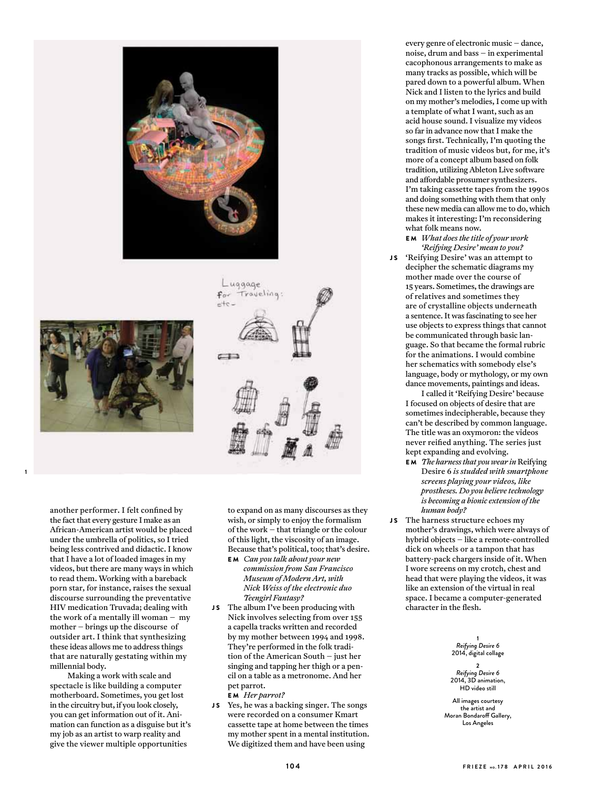



**1**

Luggage for Traveling ∓

another performer. I felt confined by the fact that every gesture I make as an African-American artist would be placed under the umbrella of politics, so  $\overline{I}$  tried being less contrived and didactic. I know that I have a lot of loaded images in my videos, but there are many ways in which to read them. Working with a bareback porn star, for instance, raises the sexual discourse surrounding the preventative HIV medication Truvada; dealing with the work of a mentally ill woman – my mother – brings up the discourse of outsider art. I think that synthesizing these ideas allows me to address things that are naturally gestating within my millennial body.

Making a work with scale and spectacle is like building a computer motherboard. Sometimes, you get lost in the circuitry but, if you look closely, you can get information out of it. Animation can function as a disguise but it's my job as an artist to warp reality and give the viewer multiple opportunities

to expand on as many discourses as they wish, or simply to enjoy the formalism of the work – that triangle or the colour of this light, the viscosity of an image. Because that's political, too; that's desire.

- E M *Can you talk about your new commission from San Francisco Museum of Modern Art, with Nick Weiss of the electronic duo Teengirl Fantasy?*
- JS The album I've been producing with Nick involves selecting from over 155 a capella tracks written and recorded by my mother between 1994 and 1998. They're performed in the folk tradition of the American South – just her singing and tapping her thigh or a pencil on a table as a metronome. And her pet parrot.

E M *Her parrot?*

JS Yes, he was a backing singer. The songs were recorded on a consumer Kmart cassette tape at home between the times my mother spent in a mental institution. We digitized them and have been using

every genre of electronic music – dance, noise, drum and bass – in experimental cacophonous arrangements to make as many tracks as possible, which will be pared down to a powerful album. When Nick and I listen to the lyrics and build on my mother's melodies, I come up with a template of what I want, such as an acid house sound. I visualize my videos so far in advance now that I make the songs first. Technically, I'm quoting the tradition of music videos but, for me, it's more of a concept album based on folk tradition, utilizing Ableton Live software and affordable prosumer synthesizers. I'm taking cassette tapes from the 1990s and doing something with them that only these new media can allow me to do, which makes it interesting: I'm reconsidering what folk means now.

E M *What does the title of your work 'Reifying Desire' mean to you?* 

JS 'Reifying Desire' was an attempt to decipher the schematic diagrams my mother made over the course of 15 years. Sometimes, the drawings are of relatives and sometimes they are of crystalline objects underneath a sentence. It was fascinating to see her use objects to express things that cannot be communicated through basic language. So that became the formal rubric for the animations. I would combine her schematics with somebody else's language, body or mythology, or my own dance movements, paintings and ideas.

I called it 'Reifying Desire' because I focused on objects of desire that are sometimes indecipherable, because they can't be described by common language. The title was an oxymoron: the videos never reified anything. The series just kept expanding and evolving.

- E M *The harness that you wear in* Reifying Desire 6 *is studded with smartphone screens playing your videos, like prostheses. Do you believe technology is becoming a bionic extension of the human body?*
- JS The harness structure echoes my mother's drawings, which were always of hybrid objects – like a remote-controlled dick on wheels or a tampon that has battery-pack chargers inside of it. When I wore screens on my crotch, chest and head that were playing the videos, it was like an extension of the virtual in real space. I became a computer-generated character in the flesh.

**1** *Reifying Desire 6* 2014, digital collage

**2** *Reifying Desire 6* 2014, 3D animation, HD video still

All images courtesy the artist and Moran Bondaroff Gallery, Los Angeles